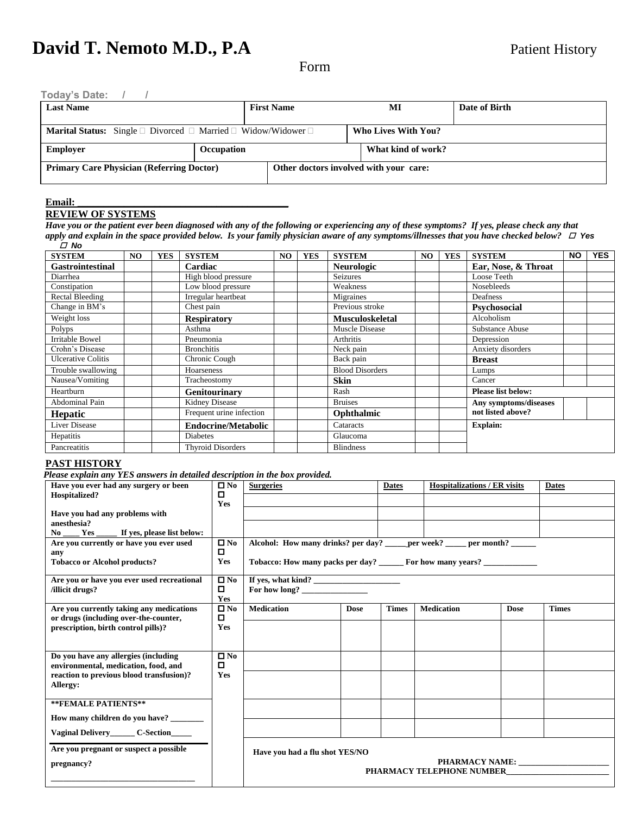Form

| <b>Last Name</b> | <b>First Name</b>                                                                        | MI                         | Date of Birth |  |
|------------------|------------------------------------------------------------------------------------------|----------------------------|---------------|--|
|                  | <b>Marital Status:</b> Single $\Box$ Divorced $\Box$ Married $\Box$ Widow/Widower $\Box$ | <b>Who Lives With You?</b> |               |  |
| <b>Employer</b>  | Occupation                                                                               | What kind of work?         |               |  |

#### $Email:$

# **REVIEW OF SYSTEMS**

*Have you or the patient ever been diagnosed with any of the following or experiencing any of these symptoms? If yes, please check any that apply and explain in the space provided below. Is your family physician aware of any symptoms/illnesses that you have checked below? Yes No*

| <b>SYSTEM</b>           | NO. | <b>YES</b> | <b>SYSTEM</b>              | NO | YES | <b>SYSTEM</b>          | NO | <b>YES</b> | <b>SYSTEM</b>             | <b>NO</b> | <b>YES</b> |
|-------------------------|-----|------------|----------------------------|----|-----|------------------------|----|------------|---------------------------|-----------|------------|
| <b>Gastrointestinal</b> |     |            | Cardiac                    |    |     | <b>Neurologic</b>      |    |            | Ear, Nose, & Throat       |           |            |
| Diarrhea                |     |            | High blood pressure        |    |     | <b>Seizures</b>        |    |            | Loose Teeth               |           |            |
| Constipation            |     |            | Low blood pressure         |    |     | Weakness               |    |            | Nosebleeds                |           |            |
| Rectal Bleeding         |     |            | Irregular heartbeat        |    |     | Migraines              |    |            | Deafness                  |           |            |
| Change in BM's          |     |            | Chest pain                 |    |     | Previous stroke        |    |            | <b>Psychosocial</b>       |           |            |
| Weight loss             |     |            | <b>Respiratory</b>         |    |     | <b>Musculoskeletal</b> |    |            | Alcoholism                |           |            |
| Polyps                  |     |            | Asthma                     |    |     | Muscle Disease         |    |            | Substance Abuse           |           |            |
| Irritable Bowel         |     |            | Pneumonia                  |    |     | Arthritis              |    |            | Depression                |           |            |
| Crohn's Disease         |     |            | <b>Bronchitis</b>          |    |     | Neck pain              |    |            | Anxiety disorders         |           |            |
| Ulcerative Colitis      |     |            | Chronic Cough              |    |     | Back pain              |    |            | <b>Breast</b>             |           |            |
| Trouble swallowing      |     |            | Hoarseness                 |    |     | <b>Blood Disorders</b> |    |            | Lumps                     |           |            |
| Nausea/Vomiting         |     |            | Tracheostomy               |    |     | <b>Skin</b>            |    |            | Cancer                    |           |            |
| Heartburn               |     |            | Genitourinary              |    |     | Rash                   |    |            | <b>Please list below:</b> |           |            |
| <b>Abdominal Pain</b>   |     |            | Kidney Disease             |    |     | <b>Bruises</b>         |    |            | Any symptoms/diseases     |           |            |
| <b>Hepatic</b>          |     |            | Frequent urine infection   |    |     | Ophthalmic             |    |            | not listed above?         |           |            |
| Liver Disease           |     |            | <b>Endocrine/Metabolic</b> |    |     | Cataracts              |    |            | <b>Explain:</b>           |           |            |
| Hepatitis               |     |            | <b>Diabetes</b>            |    |     | Glaucoma               |    |            |                           |           |            |
| Pancreatitis            |     |            | <b>Thyroid Disorders</b>   |    |     | <b>Blindness</b>       |    |            |                           |           |            |

# **PAST HISTORY**

*Please explain any YES answers in detailed description in the box provided.*

| Have you ever had any surgery or been                                             | $\square$ No | <b>Surgeries</b>               |             | <b>Dates</b> | <b>Hospitalizations / ER visits</b>                                        |             | <b>Dates</b>         |
|-----------------------------------------------------------------------------------|--------------|--------------------------------|-------------|--------------|----------------------------------------------------------------------------|-------------|----------------------|
| Hospitalized?                                                                     | о<br>Yes     |                                |             |              |                                                                            |             |                      |
| Have you had any problems with                                                    |              |                                |             |              |                                                                            |             |                      |
| anesthesia?                                                                       |              |                                |             |              |                                                                            |             |                      |
| No Yes<br>If yes, please list below:<br>Are you currently or have you ever used   | $\square$ No |                                |             |              | Alcohol: How many drinks? per day? _____ per week? ____ per month? _____   |             |                      |
| any                                                                               | О.           |                                |             |              |                                                                            |             |                      |
| <b>Tobacco or Alcohol products?</b>                                               | Yes          |                                |             |              | Tobacco: How many packs per day? ______ For how many years? ______________ |             |                      |
| Are you or have you ever used recreational                                        | $\square$ No | If yes, what kind?             |             |              |                                                                            |             |                      |
| /illicit drugs?                                                                   | 0<br>Yes     | For how long?                  |             |              |                                                                            |             |                      |
| Are you currently taking any medications<br>or drugs (including over-the-counter, | $\square$ No | <b>Medication</b>              | <b>Dose</b> | <b>Times</b> | <b>Medication</b>                                                          | <b>Dose</b> | <b>Times</b>         |
| prescription, birth control pills)?                                               | Yes          |                                |             |              |                                                                            |             |                      |
|                                                                                   |              |                                |             |              |                                                                            |             |                      |
| Do you have any allergies (including                                              | $\square$ No |                                |             |              |                                                                            |             |                      |
| environmental, medication, food, and                                              | О            |                                |             |              |                                                                            |             |                      |
| reaction to previous blood transfusion)?<br>Allergy:                              | Yes          |                                |             |              |                                                                            |             |                      |
|                                                                                   |              |                                |             |              |                                                                            |             |                      |
| **FEMALE PATIENTS**                                                               |              |                                |             |              |                                                                            |             |                      |
| How many children do you have? _______                                            |              |                                |             |              |                                                                            |             |                      |
| Vaginal Delivery C-Section                                                        |              |                                |             |              |                                                                            |             |                      |
| Are you pregnant or suspect a possible                                            |              | Have you had a flu shot YES/NO |             |              |                                                                            |             |                      |
| pregnancy?                                                                        |              |                                |             |              |                                                                            |             | PHARMACY NAME: NAME: |
|                                                                                   |              |                                |             |              | <b>PHARMACY TELEPHONE NUMBER</b>                                           |             |                      |
|                                                                                   |              |                                |             |              |                                                                            |             |                      |